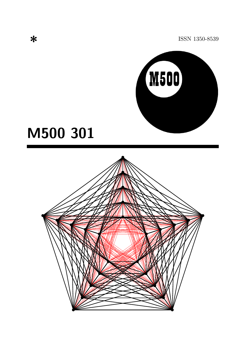ISSN 1350-8539



# M500 301

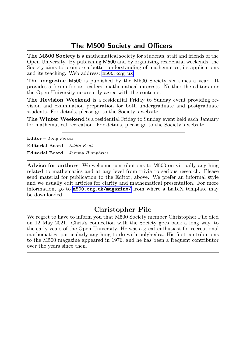### The M500 Society and Officers

The M500 Society is a mathematical society for students, staff and friends of the Open University. By publishing M500 and by organizing residential weekends, the Society aims to promote a better understanding of mathematics, its applications and its teaching. Web address: <m500.org.uk>.

The magazine M500 is published by the M500 Society six times a year. It provides a forum for its readers' mathematical interests. Neither the editors nor the Open University necessarily agree with the contents.

The Revision Weekend is a residential Friday to Sunday event providing revision and examination preparation for both undergraduate and postgraduate students. For details, please go to the Society's website.

The Winter Weekend is a residential Friday to Sunday event held each January for mathematical recreation. For details, please go to the Society's website.

Editor – Tony Forbes

Editorial Board – Eddie Kent Editorial Board – Jeremy Humphries

Advice for authors We welcome contributions to M500 on virtually anything related to mathematics and at any level from trivia to serious research. Please send material for publication to the Editor, above. We prefer an informal style and we usually edit articles for clarity and mathematical presentation. For more information, go to  $m500.org.uk/magazine/$  from where a LaTeX template may be downloaded.

#### Christopher Pile

We regret to have to inform you that M500 Society member Christopher Pile died on 12 May 2021. Chris's connection with the Society goes back a long way, to the early years of the Open University. He was a great enthusiast for recreational mathematics, particularly anything to do with polyhedra. His first contributions to the M500 magazine appeared in 1976, and he has been a frequent contributor over the years since then.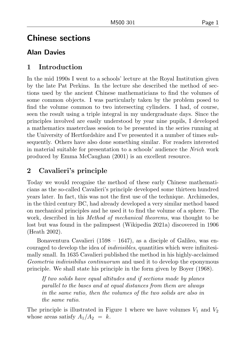# Chinese sections

## Alan Davies

### 1 Introduction

In the mid 1990s I went to a schools' lecture at the Royal Institution given by the late Pat Perkins. In the lecture she described the method of sections used by the ancient Chinese mathematicians to find the volumes of some common objects. I was particularly taken by the problem posed to find the volume common to two intersecting cylinders. I had, of course, seen the result using a triple integral in my undergraduate days. Since the principles involved are easily understood by year nine pupils, I developed a mathematics masterclass session to be presented in the series running at the University of Hertfordshire and I've presented it a number of times subsequently. Others have also done something similar. For readers interested in material suitable for presentation to a schools' audience the Nrich work produced by Emma McCaughan (2001) is an excellent resource.

# 2 Cavalieri's principle

Today we would recognise the method of these early Chinese mathematicians as the so-called Cavalieri's principle developed some thirteen hundred years later. In fact, this was not the first use of the technique. Archimedes, in the third century BC, had already developed a very similar method based on mechanical principles and he used it to find the volume of a sphere. The work, described in his *Method of mechanical theorems*, was thought to be lost but was found in the palimpsest (Wikipedia 2021a) discovered in 1906 (Heath 2002).

Bonaventura Cavalieri (1598 – 1647), as a disciple of Galileo, was encouraged to develop the idea of indivisibles, quantities which were infinitesimally small. In 1635 Cavalieri published the method in his highly-acclaimed Geometria indivisibilus continuorum and used it to develop the eponymous principle. We shall state his principle in the form given by Boyer (1968).

If two solids have equal altitudes and if sections made by planes parallel to the bases and at equal distances from them are always in the same ratio, then the volumes of the two solids are also in the same ratio.

The principle is illustrated in Figure [1](#page-3-0) where we have volumes  $V_1$  and  $V_2$ whose areas satisfy  $A_1/A_2 = k$ .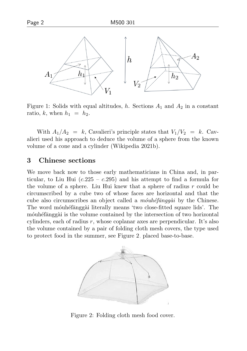

<span id="page-3-0"></span>Figure 1: Solids with equal altitudes, h. Sections  $A_1$  and  $A_2$  in a constant ratio, k, when  $h_1 = h_2$ .

With  $A_1/A_2 = k$ , Cavalieri's principle states that  $V_1/V_2 = k$ . Cavalieri used his approach to deduce the volume of a sphere from the known volume of a cone and a cylinder (Wikipedia 2021b).

#### 3 Chinese sections

We move back now to those early mathematicians in China and, in particular, to Liu Hui  $(c.225 - c.295)$  and his attempt to find a formula for the volume of a sphere. Liu Hui knew that a sphere of radius  $r$  could be circumscribed by a cube two of whose faces are horizontal and that the cube also circumscribes an object called a  $m\acute{\iota}u$  by the Chinese. The word mouhetanggài literally means 'two close-fitted square lids'. The móuhéfānggài is the volume contained by the intersection of two horizontal cylinders, each of radius  $r$ , whose coplanar axes are perpendicular. It's also the volume contained by a pair of folding cloth mesh covers, the type used to protect food in the summer, see Figure [2,](#page-3-1) placed base-to-base.



<span id="page-3-1"></span>Figure 2: Folding cloth mesh food cover.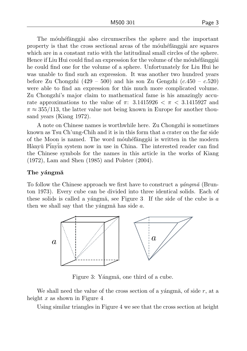The mouhethange a also circumscribes the sphere and the important property is that the cross sectional areas of the mounted are squares which are in a constant ratio with the latitudinal small circles of the sphere. Hence if Liu Hui could find an expression for the volume of the mountefranggàin he could find one for the volume of a sphere. Unfortunately for Liu Hui he was unable to find such an expression. It was another two hundred years before Zu Chongzhi (429 – 500) and his son Zu Gengzhi ( $c.450 - c.520$ ) were able to find an expression for this much more complicated volume. Zu Chongzhi's major claim to mathematical fame is his amazingly accurate approximations to the value of  $\pi$ : 3.1415926  $\lt \pi \lt 3.1415927$  and  $\pi \approx 355/113$ , the latter value not being known in Europe for another thousand years (Kiang 1972).

A note on Chinese names is worthwhile here. Zu Chongzhi is sometimes known as Tsu Ch'ung-Chih and it is in this form that a crater on the far side of the Moon is named. The word mouhetanggài is written in the modern Hànyŭ P $\overline{\text{inv}}$ in system now in use in China. The interested reader can find the Chinese symbols for the names in this article in the works of Kiang (1972), Lam and Shen (1985) and Polster (2004).

#### The vángmă

To follow the Chinese approach we first have to construct a  $y\acute{a}n$   $q\ddot{m}\acute{a}$  (Brunton 1973). Every cube can be divided into three identical solids. Each of these solids is called a yángm $\ddot{a}$ , see Figure [3.](#page-4-0) If the side of the cube is a then we shall say that the yángm $\ddot{a}$  has side a.



<span id="page-4-0"></span>Figure 3: Yángmă, one third of a cube.

We shall need the value of the cross section of a yángm $\ddot{a}$ , of side r, at a height x as shown in Figure [4.](#page-5-0)

Using similar triangles in Figure [4](#page-5-0) we see that the cross section at height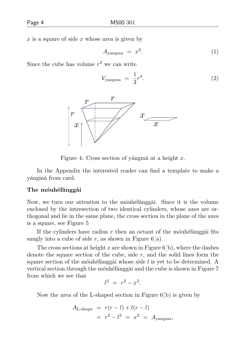$x$  is a square of side  $x$  whose area is given by

<span id="page-5-1"></span>
$$
A_{\text{yangma}} = x^2. \tag{1}
$$

Since the cube has volume  $r^3$  we can write

<span id="page-5-2"></span>
$$
V_{\text{yangma}} = \frac{1}{3}r^3. \tag{2}
$$



<span id="page-5-0"></span>Figure 4: Cross section of yángmã at a height x.

In the Appendix the interested reader can find a template to make a yángm<sub>a</sub> from card.

#### The móuhéfānggài

Now, we turn our attention to the mounted angular. Since it is the volume enclosed by the intersection of two identical cylinders, whose axes are orthogonal and lie in the same plane, the cross section in the plane of the axes is a square, see Figure [5.](#page-6-0)

If the cylinders have radius r then an octant of the mounted fanggài fits snugly into a cube of side  $r$ , as shown in Figure [6\(](#page-6-1)a).

The cross sections at height x are shown in Figure  $6(b)$ , where the dashes denote the square section of the cube, side  $r$ , and the solid lines form the square section of the mounted side is yet to be determined. A vertical section through the móuhéfanggài and the cube is shown in Figure [7](#page-7-0) from which we see that

$$
l^2 = r^2 - x^2.
$$

Now the area of the L-shaped section in Figure [6\(](#page-6-1)b) is given by

$$
A_{\text{L-shape}} = r(r - l) + l(r - l)
$$
  
=  $r^2 - l^2 = x^2 = A_{\text{yangma}}$ ,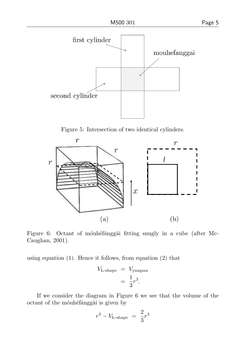

<span id="page-6-0"></span>Figure 5: Intersection of two identical cylinders.



<span id="page-6-1"></span>Figure 6: Octant of mouhéfanggài fitting snugly in a cube (after Mc-Caughan, 2001).

using equation [\(1\)](#page-5-1). Hence it follows, from equation [\(2\)](#page-5-2) that

$$
V_{\text{L-shape}} = V_{\text{yangma}}
$$

$$
= \frac{1}{3}r^3.
$$

If we consider the diagram in Figure [6](#page-6-1) we see that the volume of the octant of the móuhéfānggài is given by

$$
r^3 - V_{\text{L-shape}} = \frac{2}{3}r^3
$$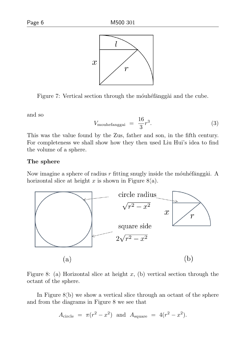



<span id="page-7-0"></span>Figure 7: Vertical section through the mounted and the cube.

and so

$$
V_{\text{mouhefanggai}} = \frac{16}{3}r^3. \tag{3}
$$

This was the value found by the Zus, father and son, in the fifth century. For completeness we shall show how they then used Liu Hui's idea to find the volume of a sphere.

#### The sphere

Now imagine a sphere of radius  $r$  fitting snugly inside the mounter-horizontal slice at height x is shown in Figure [8\(](#page-7-1)a).



<span id="page-7-1"></span>Figure 8: (a) Horizontal slice at height x, (b) vertical section through the octant of the sphere.

In Figure [8\(](#page-7-1)b) we show a vertical slice through an octant of the sphere and from the diagrams in Figure [8](#page-7-1) we see that

$$
A_{\text{circle}} = \pi(r^2 - x^2) \text{ and } A_{\text{square}} = 4(r^2 - x^2).
$$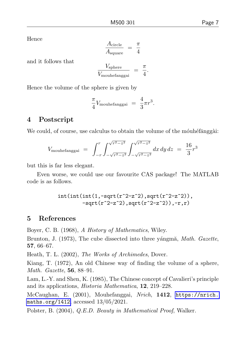Hence

$$
\frac{A_{\text{circle}}}{A_{\text{square}}} = \frac{\pi}{4}
$$

and it follows that

$$
\frac{V_{\text{sphere}}}{V_{\text{mouhefanggai}}} = \frac{\pi}{4}.
$$

Hence the volume of the sphere is given by

$$
\frac{\pi}{4}V_{\text{mouhefanggai}} = \frac{4}{3}\pi r^3.
$$

#### 4 Postscript

We could, of course, use calculus to obtain the volume of the mounteralisation-

$$
V_{\text{mouhefanggai}} = \int_{-r}^{r} \int_{-\sqrt{r^2 - z^2}}^{\sqrt{r^2 - z^2}} \int_{-\sqrt{r^2 - z^2}}^{\sqrt{r^2 - z^2}} dx \, dy \, dz = \frac{16}{3} r^3
$$

but this is far less elegant.

Even worse, we could use our favourite CAS package! The MATLAB code is as follows.

$$
\begin{array}{c}\n\text{int}(\text{int}(\text{int}(1,-\text{sqrt}(r^2-z^2),\text{sqrt}(r^2-z^2)),\\
-\text{sqrt}(r^2-z^2),\text{sqrt}(r^2-z^2)),-r,r)\n\end{array}
$$

#### 5 References

Boyer, C. B. (1968), A History of Mathematics, Wiley.

Brunton, J. (1973), The cube dissected into three vángmă, *Math. Gazette*, 57, 66–67.

Heath, T. L. (2002), The Works of Archimedes, Dover.

Kiang, T. (1972), An old Chinese way of finding the volume of a sphere, Math. Gazette, 56, 88–91.

Lam, L.-Y. and Shen, K. (1985), The Chinese concept of Cavalieri's principle and its applications, Historia Mathematica, 12, 219–228.

McCaughan, E. (2001), Mouhefanggai, Nrich, 1412, [https://nrich.](https://nrich.maths.org/1412) [maths.org/1412](https://nrich.maths.org/1412), accessed 13/05/2021.

Polster, B. (2004), Q.E.D. Beauty in Mathematical Proof, Walker.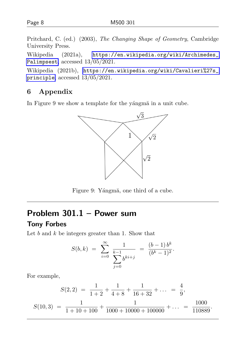Pritchard, C. (ed.) (2003), The Changing Shape of Geometry, Cambridge University Press.

Wikipedia (2021a), [https://en.wikipedia.org/wiki/Archimedes\\_](https://en.wikipedia.org/wiki/Archimedes_Palimpsest) [Palimpsest](https://en.wikipedia.org/wiki/Archimedes_Palimpsest), accessed 13/05/2021.

Wikipedia (2021b), [https://en.wikipedia.org/wiki/Cavalieri%27s\\_](https://en.wikipedia.org/wiki/Cavalieri%27s_principle) [principle](https://en.wikipedia.org/wiki/Cavalieri%27s_principle), accessed 13/05/2021.

#### 6 Appendix

In Figure [9](#page-9-0) we show a template for the yángma in a unit cube.



<span id="page-9-0"></span>Figure 9: Yángmă, one third of a cube.

# Problem 301.1 – Power sum

#### Tony Forbes

Let  $b$  and  $k$  be integers greater than 1. Show that

$$
S(b,k) = \sum_{i=0}^{\infty} \frac{1}{\sum_{j=0}^{k-1} b^{ki+j}} = \frac{(b-1) b^k}{(b^k - 1)^2}.
$$

For example,

$$
S(2,2) = \frac{1}{1+2} + \frac{1}{4+8} + \frac{1}{16+32} + \dots = \frac{4}{9},
$$
  

$$
S(10,3) = \frac{1}{1+10+100} + \frac{1}{1000+10000+100000} + \dots = \frac{1000}{110889}.
$$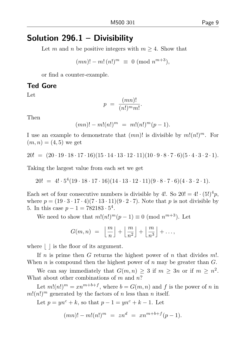# Solution 296.1 – Divisibility

Let m and n be positive integers with  $m \geq 4$ . Show that

$$
(mn)! - m! \, (n!)^m \equiv 0 \; (\text{mod } n^{m+3}),
$$

or find a counter-example.

#### Ted Gore

Let

$$
p = \frac{(mn)!}{(n!)^m m!}.
$$

Then

$$
(mn)! - m!(n!)^m = m!(n!)^m(p-1).
$$

I use an example to demonstrate that  $(mn)!$  is divisible by  $m!(n!)^m$ . For  $(m, n) = (4, 5)$  we get

 $20! = (20 \cdot 19 \cdot 18 \cdot 17 \cdot 16)(15 \cdot 14 \cdot 13 \cdot 12 \cdot 11)(10 \cdot 9 \cdot 8 \cdot 7 \cdot 6)(5 \cdot 4 \cdot 3 \cdot 2 \cdot 1).$ 

Taking the largest value from each set we get

20! =  $4! \cdot 5^4(19 \cdot 18 \cdot 17 \cdot 16)(14 \cdot 13 \cdot 12 \cdot 11)(9 \cdot 8 \cdot 7 \cdot 6)(4 \cdot 3 \cdot 2 \cdot 1).$ 

Each set of four consecutive numbers is divisible by 4!. So  $20! = 4! \cdot (5!)^4 p$ , where  $p = (19 \cdot 3 \cdot 17 \cdot 4)(7 \cdot 13 \cdot 11)(9 \cdot 2 \cdot 7)$ . Note that p is not divisible by 5. In this case  $p - 1 = 782183 \cdot 5^4$ .

We need to show that  $m!(n!)^m(p-1) \equiv 0 \pmod{n^{m+3}}$ . Let

$$
G(m,n) = \left\lfloor \frac{m}{n} \right\rfloor + \left\lfloor \frac{m}{n^2} \right\rfloor + \left\lfloor \frac{m}{n^3} \right\rfloor + \ldots,
$$

where  $\vert \cdot \vert$  is the floor of its argument.

If  $n$  is prime then  $G$  returns the highest power of  $n$  that divides  $m!$ . When n is compound then the highest power of n may be greater than  $G$ .

We can say immediately that  $G(m, n) \geq 3$  if  $m \geq 3n$  or if  $m \geq n^2$ . What about other combinations of  $m$  and  $n$ ?

Let  $m!(n!)^m = xn^{m+b+f}$ , where  $b = G(m, n)$  and f is the power of n in  $m!(n!)^m$  generated by the factors of n less than n itself.

Let  $p = yn^c + k$ , so that  $p - 1 = yn^c + k - 1$ . Let

$$
(mn)! - m!(n!)^m = zn^d = xn^{m+b+f}(p-1).
$$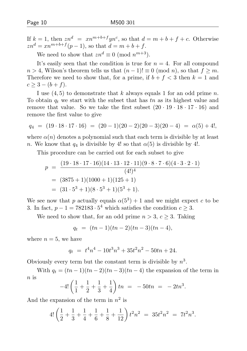If  $k = 1$ , then  $zn^d = xn^{m+b+f}yn^c$ , so that  $d = m + b + f + c$ . Otherwise  $zn^d = xn^{m+b+f}(p-1)$ , so that  $d = m+b+f$ .

We need to show that  $zn^d \equiv 0 \pmod{n^{m+3}}$ .

It's easily seen that the condition is true for  $n = 4$ . For all compound  $n > 4$ , Wilson's theorem tells us that  $(n-1)! \equiv 0 \pmod{n}$ , so that  $f \geq m$ . Therefore we need to show that, for a prime, if  $b + f < 3$  then  $k = 1$  and  $c \geq 3 - (b + f).$ 

I use  $(4, 5)$  to demonstrate that k always equals 1 for an odd prime n. To obtain  $q_t$  we start with the subset that has tn as its highest value and remove that value. So we take the first subset  $(20 \cdot 19 \cdot 18 \cdot 17 \cdot 16)$  and remove the first value to give

$$
q_4 = (19 \cdot 18 \cdot 17 \cdot 16) = (20 - 1)(20 - 2)(20 - 3)(20 - 4) = \alpha(5) + 4!,
$$

where  $\alpha(n)$  denotes a polynomial such that each term is divisible by at least n. We know that  $q_4$  is divisible by 4! so that  $\alpha(5)$  is divisible by 4!.

This procedure can be carried out for each subset to give

$$
p = \frac{(19 \cdot 18 \cdot 17 \cdot 16)(14 \cdot 13 \cdot 12 \cdot 11)(9 \cdot 8 \cdot 7 \cdot 6)(4 \cdot 3 \cdot 2 \cdot 1)}{(4!)^4}
$$
  
= (3875 + 1)(1000 + 1)(125 + 1)  
= (31 \cdot 5<sup>3</sup> + 1)(8 \cdot 5<sup>3</sup> + 1)(5<sup>3</sup> + 1).

We see now that p actually equals  $\alpha(5^3) + 1$  and we might expect c to be 3. In fact,  $p - 1 = 782183 \cdot 5^4$  which satisfies the condition  $c \geq 3$ .

We need to show that, for an odd prime  $n > 3$ ,  $c \geq 3$ . Taking

$$
q_t = (tn-1)(tn-2)(tn-3)(tn-4),
$$

where  $n = 5$ , we have

$$
q_t = t^4 n^4 - 10t^3 n^3 + 35t^2 n^2 - 50tn + 24.
$$

Obviously every term but the constant term is divisible by  $n^3$ .

With  $q_t = (tn-1)(tn-2)(tn-3)(tn-4)$  the expansion of the term in n is

$$
-4!\left(\frac{1}{1}+\frac{1}{2}+\frac{1}{3}+\frac{1}{4}\right)tn = -50tn = -2tn^{3}.
$$

And the expansion of the term in  $n^2$  is

$$
4! \left(\frac{1}{2} + \frac{1}{3} + \frac{1}{4} + \frac{1}{6} + \frac{1}{8} + \frac{1}{12}\right)t^2 n^2 = 35t^2 n^2 = 7t^2 n^3.
$$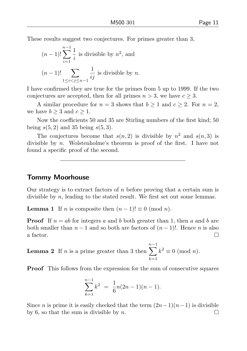These results suggest two conjectures. For primes greater than 3,

$$
(n-1)!\sum_{i=1}^{n-1} \frac{1}{i}
$$
 is divisible by  $n^2$ , and  
 $(n-1)!\sum_{1 \le i < j \le n-1} \frac{1}{ij}$  is divisible by n.

I have confirmed they are true for the primes from 5 up to 1999. If the two conjectures are accepted, then for all primes  $n > 3$ , we have  $c \geq 3$ .

A similar procedure for  $n = 3$  shows that  $b \ge 1$  and  $c \ge 2$ . For  $n = 2$ , we have  $b \geq 3$  and  $c \geq 1$ .

Now the coefficients 50 and 35 are Stirling numbers of the first kind; 50 being  $s(5, 2)$  and 35 being  $s(5, 3)$ .

The conjectures become that  $s(n, 2)$  is divisible by  $n^2$  and  $s(n, 3)$  is divisible by n. Wolstenholme's theorem is proof of the first. I have not found a specific proof of the second.

#### Tommy Moorhouse

Our strategy is to extract factors of  $n$  before proving that a certain sum is divisible by n, leading to the stated result. We first set out some lemmas.

**Lemma 1** If *n* is composite then  $(n-1)! \equiv 0 \pmod{n}$ .

**Proof** If  $n = ab$  for integers a and b both greater than 1, then a and b are both smaller than  $n-1$  and so both are factors of  $(n-1)!$ . Hence n is also a factor.  $\Box$ 

**Lemma 2** If  $n$  is a prime greater than 3 then  $\sum_{k=1}^{n-1} k^2 \equiv 0 \pmod{n}.$  $k=1$ 

Proof This follows from the expression for the sum of consecutive squares

$$
\sum_{k=1}^{n-1} k^2 = \frac{1}{6}n(2n-1)(n-1).
$$

Since *n* is prime it is easily checked that the term  $(2n-1)(n-1)$  is divisible by 6, so that the sum is divisible by n.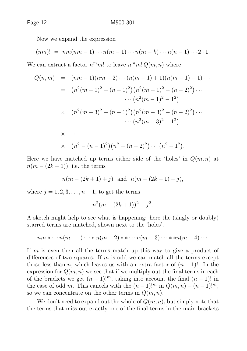Now we expand the expression

$$
(nm)! = nm(nm-1)\cdots n(m-1)\cdots n(m-k)\cdots n(n-1)\cdots 2\cdot 1.
$$

We can extract a factor  $n^m m!$  to leave  $n^m m! Q(m, n)$  where

$$
Q(n,m) = (nm-1)(nm-2)\cdots(n(m-1)+1)(n(m-1)-1)\cdots
$$
  
\n
$$
= (n^2(m-1)^2 - (n-1)^2)(n^2(m-1)^2 - (n-2)^2)\cdots
$$
  
\n
$$
\cdots (n^2(m-1)^2 - 1^2)
$$
  
\n
$$
\times (n^2(m-3)^2 - (n-1)^2)(n^2(m-3)^2 - (n-2)^2)\cdots
$$
  
\n
$$
\cdots (n^2(m-3)^2 - 1^2)
$$
  
\n
$$
\times (n^2 - (n-1)^2)(n^2 - (n-2)^2)\cdots (n^2 - 1^2).
$$

Here we have matched up terms either side of the 'holes' in  $Q(m, n)$  at  $n(m-(2k+1))$ , i.e. the terms

$$
n(m - (2k+1) + j)
$$
 and  $n(m - (2k+1) - j)$ ,

where  $j = 1, 2, 3, \ldots, n - 1$ , to get the terms

$$
n^2(m - (2k+1))^2 - j^2.
$$

A sketch might help to see what is happening: here the (singly or doubly) starred terms are matched, shown next to the 'holes'.

$$
nm * \cdots n(m-1)\cdots * n(m-2) * * \cdots n(m-3)\cdots * * n(m-4)\cdots
$$

If m is even then all the terms match up this way to give a product of differences of two squares. If m is odd we can match all the terms except those less than n, which leaves us with an extra factor of  $(n-1)!$ . In the expression for  $Q(m, n)$  we see that if we multiply out the final terms in each of the brackets we get  $(n-1)!^m$ , taking into account the final  $(n-1)!$  in the case of odd m. This cancels with the  $(n-1)!^m$  in  $Q(m, n) - (n-1)!^m$ , so we can concentrate on the other terms in  $Q(m, n)$ .

We don't need to expand out the whole of  $Q(m, n)$ , but simply note that the terms that miss out exactly one of the final terms in the main brackets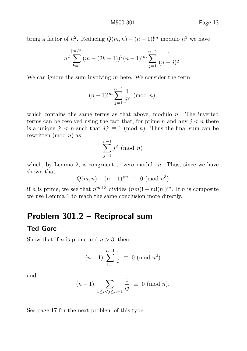bring a factor of  $n^2$ . Reducing  $Q(m, n) - (n-1)!^m$  modulo  $n^3$  we have

$$
n^{2} \sum_{k=1}^{[m/2]} (m - (2k - 1))^{2} (n - 1)!^{m} \sum_{j=1}^{n-1} \frac{1}{(n-j)^{2}}.
$$

We can ignore the sum involving  $m$  here. We consider the term

$$
(n-1)!
$$
 <sup>$n$</sup>   $\sum_{j=1}^{n-1} \frac{1}{j^2}$  (mod  $n$ ),

which contains the same terms as that above, modulo  $n$ . The inverted terms can be resolved using the fact that, for prime n and any  $j < n$  there is a unique  $j' < n$  such that  $jj' \equiv 1 \pmod{n}$ . Thus the final sum can be rewritten (mod  $n$ ) as

$$
\sum_{j=1}^{n-1} j^2 \pmod{n}
$$

which, by Lemma 2, is congruent to zero modulo  $n$ . Thus, since we have shown that

$$
Q(m, n) - (n - 1)!^m \equiv 0 \pmod{n^3}
$$

if *n* is prime, we see that  $n^{m+3}$  divides  $(nm)! - m!(n!)^m$ . If *n* is composite we use Lemma 1 to reach the same conclusion more directly.

# Problem 301.2 – Reciprocal sum

## Ted Gore

Show that if *n* is prime and  $n > 3$ , then

$$
(n-1)!\sum_{i=1}^{n-1} \frac{1}{i} \equiv 0 \pmod{n^2}
$$

and

$$
(n-1)! \sum_{1 \le i < j \le n-1} \frac{1}{ij} \equiv 0 \pmod{n}.
$$

See page [17](#page-3-0) for the next problem of this type.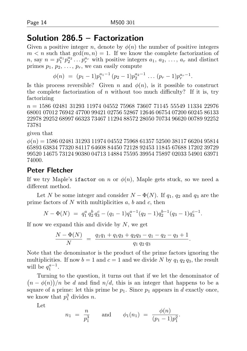# Solution 286.5 – Factorization

Given a positive integer n, denote by  $\phi(n)$  the number of positive integers  $m < n$  such that  $gcd(m, n) = 1$ . If we know the complete factorization of *n*, say  $n = p_1^{a_1} p_2^{a_2} \dots p_r^{a_r}$  with positive integers  $a_1, a_2, \dots, a_r$  and distinct primes  $p_1, p_2, \ldots, p_r$ , we can easily compute

$$
\phi(n) = (p_1 - 1)p_1^{a_1 - 1}(p_2 - 1)p_2^{a_2 - 1} \dots (p_r - 1)p_r^{a_r - 1}.
$$

Is this process reversible? Given n and  $\phi(n)$ , is it possible to construct the complete factorization of n without too much difficulty? If it is, try factorizing

 $n = 1586\,02481\,31293\,11974\,04552\,75968\,73607\,71145\,55549\,11334\,22976$ 68001 07012 76942 47700 99421 02756 52867 12646 06754 07200 60245 86133 22978 29252 68997 66323 73467 11294 88572 28050 70734 96620 00789 92252 73781

given that

 $\phi(n) = 1586\ 02481\ 31293\ 11974\ 04552\ 75968\ 61357\ 52500\ 38117\ 66204\ 95814$ 65893 63834 77320 84117 64608 84450 72128 92453 11845 67688 17202 39729 99520 14675 73124 90380 04713 14884 75595 39954 75897 02033 54901 63971 74000.

#### Peter Fletcher

If we try Maple's ifactor on n or  $\phi(n)$ , Maple gets stuck, so we need a different method.

Let N be some integer and consider  $N - \Phi(N)$ . If  $q_1, q_2$  and  $q_3$  are the prime factors of  $N$  with multiplicities  $a, b$  and  $c$ , then

$$
N - \Phi(N) = q_1^a q_2^b q_3^c - (q_1 - 1)q_1^{a-1}(q_2 - 1)q_2^{b-1}(q_3 - 1)q_3^{c-1}.
$$

If now we expand this and divide by  $N$ , we get

$$
\frac{N - \Phi(N)}{N} = \frac{q_1q_1 + q_1q_3 + q_2q_3 - q_1 - q_2 - q_3 + 1}{q_1 q_2 q_3}.
$$

Note that the denominator is the product of the prime factors ignoring the multiplicities. If now  $b = 1$  and  $c = 1$  and we divide N by  $q_1 q_2 q_3$ , the result will be  $q_1^{a-1}$ .

Turning to the question, it turns out that if we let the denominator of  $(n - \phi(n))/n$  be d and find  $n/d$ , this is an integer that happens to be a square of a prime: let this prime be  $p_1$ . Since  $p_1$  appears in d exactly once, we know that  $p_1^3$  divides *n*.

Let

$$
n_1 = \frac{n}{p_1^3}
$$
 and  $\phi_1(n_1) = \frac{\phi(n)}{(p_1 - 1)p_1^2}$ .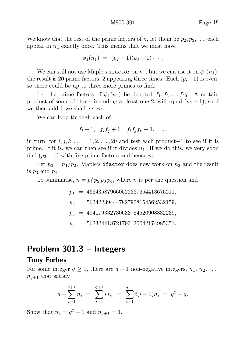We know that the rest of the prime factors of n, let them be  $p_2, p_3, \ldots$  each appear in  $n_1$  exactly once. This means that we must have

$$
\phi_1(n_1) = (p_2-1)(p_3-1)\cdots.
$$

We can still not use Maple's **ifactor** on  $n_1$ , but we can use it on  $\phi_1(n_1)$ : the result is 20 prime factors, 2 appearing three times. Each  $(p_i-1)$  is even, so there could be up to three more primes to find.

Let the prime factors of  $\phi_1(n_1)$  be denoted  $f_1, f_2, \ldots, f_{20}$ . A certain product of some of these, including at least one 2, will equal  $(p_2 - 1)$ , so if we then add 1 we shall get  $p_2$ .

We can loop through each of

$$
f_i+1, f_i f_j+1, f_i f_j f_k+1, \ldots
$$

in turn, for  $i, j, k, \ldots = 1, 2, \ldots, 20$  and test each product +1 to see if it is prime. If it is, we can then see if it divides  $n_1$ . If we do this, we very soon find  $(p_2 - 1)$  with five prime factors and hence  $p_2$ .

Let  $n_2 = n_1/p_2$ . Maple's ifactor does now work on  $n_2$  and the result is  $p_3$  and  $p_4$ .

To summarise,  $n = p_1^3 p_2 p_3 p_4$ , where *n* is per the question and

 $p_1 = 466435879660522367654413675211,$  $p_2 = 562422394447827908154562532159,$ 

 $p_3 = 494179332730633784520908832239,$ 

 $p_4 = 562324418721793120042174985351.$ 

## Problem 301.3 – Integers

#### Tony Forbes

For some integer  $q \geq 1$ , there are  $q + 1$  non-negative integers,  $n_1, n_2, \ldots$ ,  $n_{q+1}$  that satisfy

$$
q + \sum_{i=1}^{q+1} n_i = \sum_{i=1}^{q+1} i n_i = \sum_{i=1}^{q+1} i(i-1)n_i = q^2 + q.
$$

Show that  $n_1 = q^2 - 1$  and  $n_{q+1} = 1$ .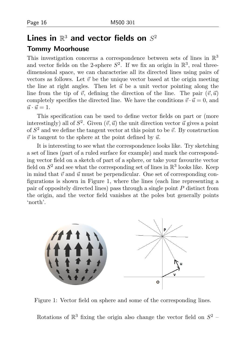# Lines in  $\mathbb{R}^3$  and vector fields on  $S^2$

#### Tommy Moorhouse

This investigation concerns a correspondence between sets of lines in  $\mathbb{R}^3$ and vector fields on the 2-sphere  $S^2$ . If we fix an origin in  $\mathbb{R}^3$ , real threedimensional space, we can characterise all its directed lines using pairs of vectors as follows. Let  $\vec{v}$  be the unique vector based at the origin meeting the line at right angles. Then let  $\vec{u}$  be a unit vector pointing along the line from the tip of  $\vec{v}$ , defining the direction of the line. The pair  $(\vec{v}, \vec{u})$ completely specifies the directed line. We have the conditions  $\vec{v} \cdot \vec{u} = 0$ , and  $\vec{u} \cdot \vec{u} = 1$ 

This specification can be used to define vector fields on part or (more interestingly) all of  $S^2$ . Given  $(\vec{v}, \vec{u})$  the unit direction vector  $\vec{u}$  gives a point of  $S^2$  and we define the tangent vector at this point to be  $\vec{v}$ . By construction  $\vec{v}$  is tangent to the sphere at the point defined by  $\vec{u}$ .

It is interesting to see what the correspondence looks like. Try sketching a set of lines (part of a ruled surface for example) and mark the corresponding vector field on a sketch of part of a sphere, or take your favourite vector field on  $S^2$  and see what the corresponding set of lines in  $\mathbb{R}^3$  looks like. Keep in mind that  $\vec{v}$  and  $\vec{u}$  must be perpendicular. One set of corresponding configurations is shown in Figure 1, where the lines (each line representing a pair of oppositely directed lines) pass through a single point P distinct from the origin, and the vector field vanishes at the poles but generally points 'north'.



Figure 1: Vector field on sphere and some of the corresponding lines.

Rotations of  $\mathbb{R}^3$  fixing the origin also change the vector field on  $S^2$  -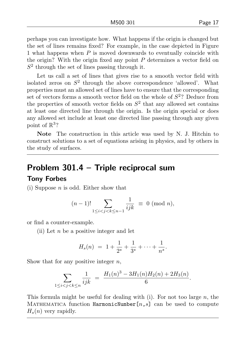perhaps you can investigate how. What happens if the origin is changed but the set of lines remains fixed? For example, in the case depicted in Figure 1 what happens when  $P$  is moved downwards to eventually coincide with the origin? With the origin fixed any point  $P$  determines a vector field on  $S<sup>2</sup>$  through the set of lines passing through it.

Let us call a set of lines that gives rise to a smooth vector field with isolated zeros on  $S^2$  through the above correspondence 'allowed'. What properties must an allowed set of lines have to ensure that the corresponding set of vectors forms a smooth vector field on the whole of  $S<sup>2</sup>$ ? Deduce from the properties of smooth vector fields on  $S<sup>2</sup>$  that any allowed set contains at least one directed line through the origin. Is the origin special or does any allowed set include at least one directed line passing through any given point of  $\mathbb{R}^3$ ?

Note The construction in this article was used by N. J. Hitchin to construct solutions to a set of equations arising in physics, and by others in the study of surfaces.

# Problem 301.4 – Triple reciprocal sum

#### Tony Forbes

(i) Suppose  $n$  is odd. Either show that

$$
(n-1)! \sum_{1 \le i < j < k \le n-1} \frac{1}{ijk} \equiv 0 \pmod{n},
$$

or find a counter-example.

(ii) Let  $n$  be a positive integer and let

$$
H_s(n) = 1 + \frac{1}{2^s} + \frac{1}{3^s} + \dots + \frac{1}{n^s}.
$$

Show that for any positive integer  $n$ ,

$$
\sum_{1 \le i < j < k \le n} \frac{1}{ijk} = \frac{H_1(n)^3 - 3H_1(n)H_2(n) + 2H_3(n)}{6}.
$$

This formula might be useful for dealing with (i). For not too large n, the MATHEMATICA function HarmonicNumber $[n,s]$  can be used to compute  $H_s(n)$  very rapidly.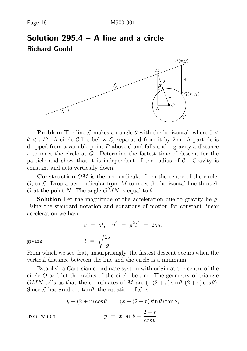# Solution 295.4 – A line and a circle Richard Gould



**Problem** The line  $\mathcal L$  makes an angle  $\theta$  with the horizontal, where  $0 <$  $\theta < \pi/2$ . A circle C lies below L, separated from it by 2 m. A particle is dropped from a variable point  $P$  above  $\mathcal C$  and falls under gravity a distance s to meet the circle at Q. Determine the fastest time of descent for the particle and show that it is independent of the radius of  $C$ . Gravity is constant and acts vertically down.

Construction *OM* is the perpendicular from the centre of the circle, O, to  $\mathcal{L}$ . Drop a perpendicular from M to meet the horizontal line through O at the point N. The angle  $\widehat{OMN}$  is equal to  $\theta$ .

**Solution** Let the magnitude of the acceleration due to gravity be  $q$ . Using the standard notation and equations of motion for constant linear acceleration we have

$$
v = gt, \quad v^2 = g^2 t^2 = 2gs,
$$
  

$$
t = \sqrt{\frac{2s}{g}}.
$$

giving

From which we see that, unsurprisingly, the fastest descent occurs when the vertical distance between the line and the circle is a minimum.

Establish a Cartesian coordinate system with origin at the centre of the circle  $O$  and let the radius of the circle be  $r$  m. The geometry of triangle OMN tells us that the coordinates of M are  $(-(2+r)\sin\theta,(2+r)\cos\theta)$ . Since  $\mathcal L$  has gradient tan  $\theta$ , the equation of  $\mathcal L$  is

$$
y - (2+r)\cos\theta = (x + (2+r)\sin\theta)\tan\theta,
$$
  

$$
y = x\tan\theta + \frac{2+r}{\cos\theta},
$$

from which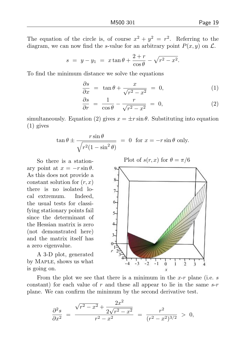The equation of the circle is, of course  $x^2 + y^2 = r^2$ . Referring to the diagram, we can now find the s-value for an arbitrary point  $P(x, y)$  on  $\mathcal{L}$ .

$$
s = y - y_1 = x \tan \theta + \frac{2+r}{\cos \theta} - \sqrt{r^2 - x^2}.
$$

To find the minimum distance we solve the equations

$$
\frac{\partial s}{\partial x} = \tan \theta + \frac{x}{\sqrt{r^2 - x^2}} = 0, \tag{1}
$$

$$
\frac{\partial s}{\partial r} = \frac{1}{\cos \theta} - \frac{r}{\sqrt{r^2 - x^2}} = 0, \tag{2}
$$

simultaneously. Equation (2) gives  $x = \pm r \sin \theta$ . Substituting into equation (1) gives

$$
\tan \theta \pm \frac{r \sin \theta}{\sqrt{r^2 (1 - \sin^2 \theta)}} = 0 \text{ for } x = -r \sin \theta \text{ only.}
$$

So there is a stationary point at  $x = -r \sin \theta$ . As this does not provide a constant solution for  $(r, x)$ there is no isolated local extremum. Indeed, the usual tests for classifying stationary points fail since the determinant of the Hessian matrix is zero (not demonstrated here) and the matrix itself has a zero eigenvalue.

A 3-D plot, generated by Maple, shows us what is going on.

Plot of  $s(r, x)$  for  $\theta = \pi/6$ 



From the plot we see that there is a minimum in the x-r plane (i.e. s constant) for each value of r and these all appear to lie in the same  $s-r$ plane. We can confirm the minimum by the second derivative test.

$$
\frac{\partial^2 s}{\partial x^2} = \frac{\sqrt{r^2 - x^2} + \frac{2x^2}{2\sqrt{r^2 - x^2}}}{r^2 - x^2} = \frac{r^2}{(r^2 - x^2)^{3/2}} > 0,
$$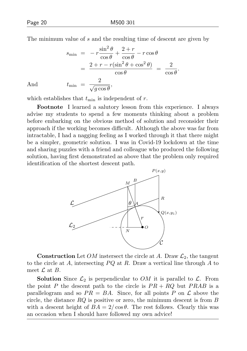The minimum value of s and the resulting time of descent are given by

$$
s_{\min} = -r \frac{\sin^2 \theta}{\cos \theta} + \frac{2+r}{\cos \theta} - r \cos \theta
$$
  
= 
$$
\frac{2+r - r(\sin^2 \theta + \cos^2 \theta)}{\cos \theta} = \frac{2}{\cos \theta}.
$$
  

$$
t_{\min} = \frac{2}{\sqrt{g \cos \theta}},
$$

And

which establishes that  $t_{\min}$  is independent of r.

Footnote I learned a salutory lesson from this experience. I always advise my students to spend a few moments thinking about a problem before embarking on the obvious method of solution and reconsider their approach if the working becomes difficult. Although the above was far from intractable, I had a nagging feeling as I worked through it that there might be a simpler, geometric solution. I was in Covid-19 lockdown at the time and sharing puzzles with a friend and colleague who produced the following solution, having first demonstrated as above that the problem only required identification of the shortest descent path.



**Construction** Let *OM* instersect the circle at A. Draw  $\mathcal{L}_2$ , the tangent to the circle at A, intersecting  $PQ$  at R. Draw a vertical line through A to meet  $\mathcal L$  at  $B$ .

**Solution** Since  $\mathcal{L}_2$  is perpendicular to OM it is parallel to  $\mathcal{L}$ . From the point P the descent path to the circle is  $PR + RQ$  but  $PRAB$  is a parallelogram and so  $PR = BA$ . Since, for all points P on  $\mathcal L$  above the circle, the distance  $RQ$  is positive or zero, the minimum descent is from  $B$ with a descent height of  $BA = 2/\cos\theta$ . The rest follows. Clearly this was an occasion when I should have followed my own advice!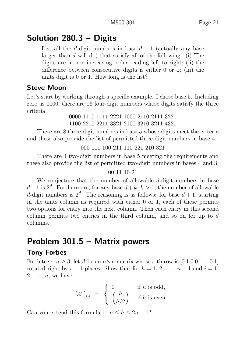# Solution 280.3 – Digits

List all the d-digit numbers in base  $d+1$  (actually any base larger than d will do) that satisfy all of the following. (i) The digits are in non-increasing order reading left to right; (ii) the difference between consecutive digits is either 0 or 1; (iii) the units digit is 0 or 1. How long is the list?

### Steve Moon

Let's start by working through a specific example. I chose base 5. Including zero as 0000, there are 16 four-digit numbers whose digits satisfy the three criteria.

0000 1110 1111 2221 1000 2110 2111 3221 1100 2210 2211 3321 2100 3210 3211 4321

There are 8 three-digit numbers in base 5 whose digits meet the criteria and these also provide the list of permitted three-digit numbers in base 4.

```
000 111 100 211 110 221 210 321
```
There are 4 two-digit numbers in base 5 meeting the requirements and these also provide the list of permitted two-digit numbers in bases 4 and 3.

#### 00 11 10 21

We conjecture that the number of allowable  $d$ -digit numbers in base  $d+1$  is  $2^d$ . Furthermore, for any base  $d+k$ ,  $k>1$ , the number of allowable d-digit numbers is  $2^d$ . The reasoning is as follows: for base  $d+1$ , starting in the units column as required with either 0 or 1, each of these permits two options for entry into the next column. Then each entry in this second column permits two entries in the third column, and so on for up to  $d$ columns.

# Problem 301.5 – Matrix powers

#### Tony Forbes

For integer  $n \geq 3$ , let A be an  $n \times n$  matrix whose r-th row is [0 1 0 0 ... 0 1] rotated right by  $r-1$  places. Show that for  $h = 1, 2, ..., n-1$  and  $i = 1$ ,  $2, \ldots, n$ , we have

$$
[Ah]_{i,i} = \begin{cases} 0 & \text{if } h \text{ is odd,} \\ \binom{h}{h/2} & \text{if } h \text{ is even.} \end{cases}
$$

Can you extend this formula to  $n \leq h \leq 2n - 1$ ?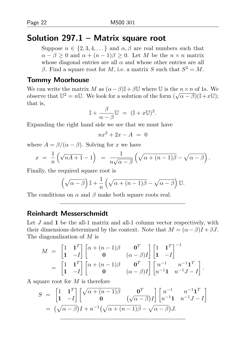# Solution  $297.1 -$  Matrix square root

Suppose  $n \in \{2, 3, 4, \dots\}$  and  $\alpha, \beta$  are real numbers such that  $\alpha - \beta > 0$  and  $\alpha + (n-1)\beta > 0$ . Let M be the  $n \times n$  matrix whose diagonal entries are all  $\alpha$  and whose other entries are all β. Find a square root for M, i.e. a matrix S such that  $S^2 = M$ .

#### Tommy Moorhouse

We can write the matrix M as  $(\alpha - \beta)\mathbb{I} + \beta \mathbb{U}$  where U is the  $n \times n$  of 1s. We we can write the matrix *M* as  $(\alpha - \beta)^{\mu} + \beta \sigma$  where  $\sigma$  is the *n* x *n* of is. We observe that  $\mathbb{U}^2 = n\mathbb{U}$ . We look for a solution of the form  $(\sqrt{\alpha - \beta})(\mathbb{I} + x\mathbb{U})$ ; that is,

$$
\mathbb{I} + \frac{\beta}{\alpha - \beta} \mathbb{U} = (\mathbb{I} + x\mathbb{U})^2.
$$

Expanding the right hand side we see that we must have

 $nx^2 + 2x - 4 = 0$ 

where  $A = \frac{\beta}{\alpha - \beta}$ . Solving for x we have

$$
x = \frac{1}{n} \left( \sqrt{nA+1} - 1 \right) = \frac{1}{n\sqrt{\alpha - \beta}} \left( \sqrt{\alpha + (n-1)\beta} - \sqrt{\alpha - \beta} \right).
$$

Finally, the required square root is

$$
\left(\sqrt{\alpha-\beta}\right)\mathbb{I}+\frac{1}{n}\left(\sqrt{\alpha+(n-1)\beta}-\sqrt{\alpha-\beta}\right)\mathbb{U}.
$$

The conditions on  $\alpha$  and  $\beta$  make both square roots real.

#### Reinhardt Messerschmidt

Let  $J$  and  $1$  be the all-1 matrix and all-1 column vector respectively, with their dimensions determined by the context. Note that  $M = (\alpha - \beta)I + \beta J$ . The diagonalization of M is

$$
M = \begin{bmatrix} 1 & \mathbf{1}^T \\ \mathbf{1} & -I \end{bmatrix} \begin{bmatrix} \alpha + (n-1)\beta & \mathbf{0}^T \\ \mathbf{0} & (\alpha - \beta)I \end{bmatrix} \begin{bmatrix} 1 & \mathbf{1}^T \\ \mathbf{1} & -I \end{bmatrix}^{-1}
$$
  
= 
$$
\begin{bmatrix} 1 & \mathbf{1}^T \\ \mathbf{1} & -I \end{bmatrix} \begin{bmatrix} \alpha + (n-1)\beta & \mathbf{0}^T \\ \mathbf{0} & (\alpha - \beta)I \end{bmatrix} \begin{bmatrix} n^{-1} & n^{-1}\mathbf{1}^T \\ n^{-1}\mathbf{1} & n^{-1}J - I \end{bmatrix}.
$$

A square root for  $M$  is therefore

$$
S = \begin{bmatrix} 1 & \mathbf{1}^T \\ \mathbf{1} & -I \end{bmatrix} \begin{bmatrix} \sqrt{\alpha + (n-1)\beta} & \mathbf{0}^T \\ \mathbf{0} & (\sqrt{\alpha - \beta})I \end{bmatrix} \begin{bmatrix} n^{-1} & n^{-1}\mathbf{1}^T \\ n^{-1}\mathbf{1} & n^{-1}J - I \end{bmatrix}
$$

$$
= (\sqrt{\alpha - \beta})I + n^{-1}(\sqrt{\alpha + (n-1)\beta} - \sqrt{\alpha - \beta})J.
$$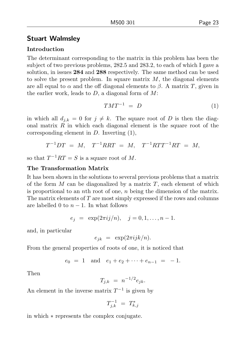#### Stuart Walmsley

#### Introduction

The determinant corresponding to the matrix in this problem has been the subject of two previous problems, 282.5 and 283.2, to each of which I gave a solution, in issues 284 and 288 respectively. The same method can be used to solve the present problem. In square matrix  $M$ , the diagonal elements are all equal to  $\alpha$  and the off diagonal elements to  $\beta$ . A matrix T, given in the earlier work, leads to  $D$ , a diagonal form of  $M$ :

$$
TMT^{-1} = D \tag{1}
$$

in which all  $d_{i,k} = 0$  for  $j \neq k$ . The square root of D is then the diagonal matrix  $R$  in which each diagonal element is the square root of the corresponding element in  $D$ . Inverting  $(1)$ ,

$$
T^{-1}DT = M, \quad T^{-1}RRT = M, \quad T^{-1}RTT^{-1}RT = M,
$$

so that  $T^{-1}RT = S$  is a square root of M.

#### The Transformation Matrix

It has been shown in the solutions to several previous problems that a matrix of the form  $M$  can be diagonalized by a matrix  $T$ , each element of which is proportional to an *n*th root of one, *n* being the dimension of the matrix. The matrix elements of  $T$  are most simply expressed if the rows and columns are labelled 0 to  $n-1$ . In what follows

$$
e_j = \exp(2\pi i j/n), \quad j = 0, 1, ..., n-1.
$$

and, in particular

$$
e_{jk} = \exp(2\pi i jk/n).
$$

From the general properties of roots of one, it is noticed that

$$
e_0 = 1
$$
 and  $e_1 + e_2 + \cdots + e_{n-1} = -1$ .

Then

$$
T_{j,k} = n^{-1/2} e_{jk}.
$$

An element in the inverse matrix  $T^{-1}$  is given by

$$
T_{j,k}^{-1} \,\,=\,\,T_{k,j}^*
$$

in which ∗ represents the complex conjugate.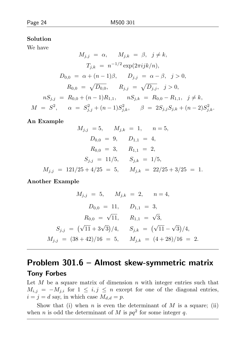#### Solution

We have

$$
M_{j,j} = \alpha, \qquad M_{j,k} = \beta, \quad j \neq k,
$$
  
\n
$$
T_{j,k} = n^{-1/2} \exp(2\pi i jk/n),
$$
  
\n
$$
D_{0,0} = \alpha + (n-1)\beta, \qquad D_{j,j} = \alpha - \beta, \quad j > 0,
$$
  
\n
$$
R_{0,0} = \sqrt{D_{0,0}}, \qquad R_{j,j} = \sqrt{D_{j,j}}, \quad j > 0,
$$
  
\n
$$
nS_{j,j} = R_{0,0} + (n-1)R_{1,1}, \qquad nS_{j,k} = R_{0,0} - R_{1,1}, \quad j \neq k,
$$
  
\n
$$
M = S^2, \qquad \alpha = S_{j,j}^2 + (n-1)S_{j,k}^2, \qquad \beta = 2S_{j,j}S_{j,k} + (n-2)S_{j,k}^2.
$$

#### An Example

$$
M_{j,j} = 5, \t M_{j,k} = 1, \t n = 5,
$$
  
\n
$$
D_{0,0} = 9, \t D_{1,1} = 4,
$$
  
\n
$$
R_{0,0} = 3, \t R_{1,1} = 2,
$$
  
\n
$$
S_{j,j} = 11/5, \t S_{j,k} = 1/5,
$$
  
\n
$$
M_{j,j} = 121/25 + 4/25 = 5, \t M_{j,k} = 22/25 + 3/25 = 1.
$$

Another Example

$$
M_{j,j} = 5, \t M_{j,k} = 2, \t n = 4,
$$
  
\n
$$
D_{0,0} = 11, \t D_{1,1} = 3,
$$
  
\n
$$
R_{0,0} = \sqrt{11}, \t R_{1,1} = \sqrt{3},
$$
  
\n
$$
S_{j,j} = (\sqrt{11} + 3\sqrt{3})/4, \t S_{j,k} = (\sqrt{11} - \sqrt{3})/4,
$$
  
\n
$$
M_{j,j} = (38 + 42)/16 = 5, \t M_{j,k} = (4 + 28)/16 = 2.
$$

# Problem 301.6 – Almost skew-symmetric matrix

#### Tony Forbes

Let  $M$  be a square matrix of dimension  $n$  with integer entries such that  $M_{i,j} = -M_{j,i}$  for  $1 \leq i,j \leq n$  except for one of the diagonal entries,  $i = j = d$  say, in which case  $M_{d,d} = p$ .

Show that (i) when  $n$  is even the determinant of  $M$  is a square; (ii) when *n* is odd the determinant of M is  $pq^2$  for some integer q.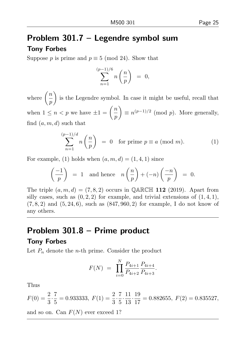# Problem 301.7 – Legendre symbol sum

#### Tony Forbes

Suppose p is prime and  $p \equiv 5 \pmod{24}$ . Show that

$$
\sum_{n=1}^{(p-1)/6} n\left(\frac{n}{p}\right) = 0,
$$

where  $\left(\frac{n}{n}\right)$ p is the Legendre symbol. In case it might be useful, recall that when  $1 \leq n < p$  we have  $\pm 1 = \left(\frac{n}{p}\right)$ p  $\Big) \equiv n^{(p-1)/2} \pmod{p}$ . More generally,

find  $(a, m, d)$  such that

$$
\sum_{n=1}^{(p-1)/d} n\left(\frac{n}{p}\right) = 0 \quad \text{for prime } p \equiv a \pmod{m}.\tag{1}
$$

For example, (1) holds when  $(a, m, d) = (1, 4, 1)$  since

$$
\left(\frac{-1}{p}\right) = 1 \text{ and hence } n\left(\frac{n}{p}\right) + (-n)\left(\frac{-n}{p}\right) = 0.
$$

The triple  $(a, m, d) = (7, 8, 2)$  occurs in QARCH 112 (2019). Apart from silly cases, such as  $(0, 2, 2)$  for example, and trivial extensions of  $(1, 4, 1)$ ,  $(7, 8, 2)$  and  $(5, 24, 6)$ , such as  $(847, 960, 2)$  for example, I do not know of any others.

# Problem 301.8 – Prime product

#### Tony Forbes

Let  $P_n$  denote the *n*-th prime. Consider the product

$$
F(N) = \prod_{i=0}^{N} \frac{P_{4i+1}}{P_{4i+2}} \frac{P_{4i+4}}{P_{4i+3}}.
$$

Thus

$$
F(0) = \frac{2}{3} \cdot \frac{7}{5} = 0.933333, \ F(1) = \frac{2}{3} \cdot \frac{7}{5} \cdot \frac{11}{13} \cdot \frac{19}{17} = 0.882655, \ F(2) = 0.835527,
$$

and so on. Can  $F(N)$  ever exceed 1?